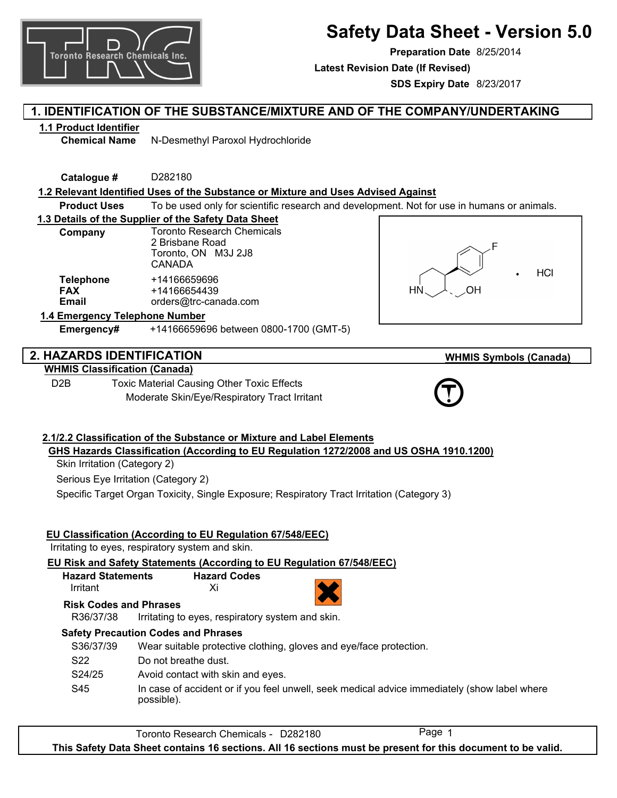

# **Safety Data Sheet - Version 5.0**

**Preparation Date** 8/25/2014

**Latest Revision Date (If Revised)**

**SDS Expiry Date** 8/23/2017

## **1. IDENTIFICATION OF THE SUBSTANCE/MIXTURE AND OF THE COMPANY/UNDERTAKING**

## **1.1 Product Identifier**

**Chemical Name** N-Desmethyl Paroxol Hydrochloride

**Catalogue #** D282180

## **1.2 Relevant Identified Uses of the Substance or Mixture and Uses Advised Against**

**Product Uses** To be used only for scientific research and development. Not for use in humans or animals.

## **1.3 Details of the Supplier of the Safety Data Sheet**

| Company                                        | <b>Toronto Research Chemicals</b><br>2 Brisbane Road<br>Toronto, ON M3J 2J8<br><b>CANADA</b> |
|------------------------------------------------|----------------------------------------------------------------------------------------------|
| <b>Telephone</b><br><b>FAX</b><br><b>Email</b> | +14166659696<br>+14166654439<br>orders@trc-canada.com                                        |
| Talandan a Alemada .                           |                                                                                              |



**WHMIS Symbols (Canada)**

## **1.4 Emergency Telephone Number**

**Emergency#** +14166659696 between 0800-1700 (GMT-5)

## **2. HAZARDS IDENTIFICATION**

## **WHMIS Classification (Canada)**

D2B Toxic Material Causing Other Toxic Effects Moderate Skin/Eye/Respiratory Tract Irritant



## **2.1/2.2 Classification of the Substance or Mixture and Label Elements GHS Hazards Classification (According to EU Regulation 1272/2008 and US OSHA 1910.1200)**

Skin Irritation (Category 2)

Serious Eye Irritation (Category 2)

Specific Target Organ Toxicity, Single Exposure; Respiratory Tract Irritation (Category 3)

## **EU Classification (According to EU Regulation 67/548/EEC)**

Irritating to eyes, respiratory system and skin.

**EU Risk and Safety Statements (According to EU Regulation 67/548/EEC)**

| <b>Hazard Statements</b> | <b>Hazard Codes</b> |
|--------------------------|---------------------|
| Irritant                 | Xi                  |

| a company and company of the company of the company of the company of the company of |
|--------------------------------------------------------------------------------------|
|                                                                                      |
|                                                                                      |
|                                                                                      |

**Risk Codes and Phrases**

R36/37/38 Irritating to eyes, respiratory system and skin.

## **Safety Precaution Codes and Phrases**

| S36/37/39 | Wear suitable protective clothing, gloves and eye/face protection.                                         |
|-----------|------------------------------------------------------------------------------------------------------------|
| S22       | Do not breathe dust.                                                                                       |
| S24/25    | Avoid contact with skin and eyes.                                                                          |
| S45       | In case of accident or if you feel unwell, seek medical advice immediately (show label where<br>possible). |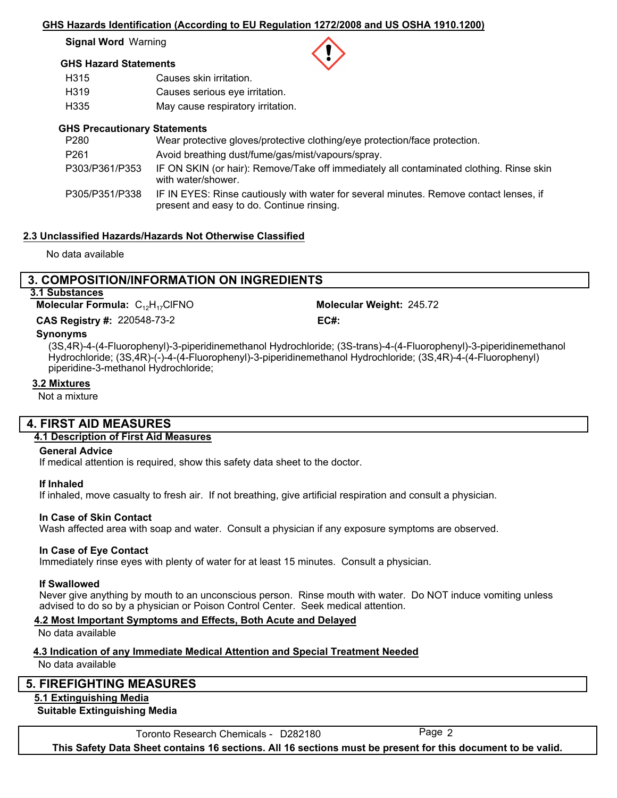#### **GHS Hazards Identification (According to EU Regulation 1272/2008 and US OSHA 1910.1200)**

**Signal Word** Warning

## **GHS Hazard Statements**

| H315 | Causes skin irritation.           |
|------|-----------------------------------|
| H319 | Causes serious eye irritation.    |
| H335 | May cause respiratory irritation. |

### **GHS Precautionary Statements**

| P280             | Wear protective gloves/protective clothing/eye protection/face protection.                                                          |
|------------------|-------------------------------------------------------------------------------------------------------------------------------------|
| P <sub>261</sub> | Avoid breathing dust/fume/gas/mist/vapours/spray.                                                                                   |
| P303/P361/P353   | IF ON SKIN (or hair): Remove/Take off immediately all contaminated clothing. Rinse skin<br>with water/shower.                       |
| P305/P351/P338   | IF IN EYES: Rinse cautiously with water for several minutes. Remove contact lenses, if<br>present and easy to do. Continue rinsing. |

## **2.3 Unclassified Hazards/Hazards Not Otherwise Classified**

No data available

## **3. COMPOSITION/INFORMATION ON INGREDIENTS 3.1 Substances**

**Molecular Formula: C<sub>12</sub>H<sub>17</sub>CIFNO** 

220548-73-2 **CAS Registry #: EC#:**

Molecular Weight: 245.72

#### **Synonyms**

(3S,4R)-4-(4-Fluorophenyl)-3-piperidinemethanol Hydrochloride; (3S-trans)-4-(4-Fluorophenyl)-3-piperidinemethanol Hydrochloride; (3S,4R)-(-)-4-(4-Fluorophenyl)-3-piperidinemethanol Hydrochloride; (3S,4R)-4-(4-Fluorophenyl) piperidine-3-methanol Hydrochloride;

#### **3.2 Mixtures**

Not a mixture

## **4. FIRST AID MEASURES**

## **4.1 Description of First Aid Measures**

#### **General Advice**

If medical attention is required, show this safety data sheet to the doctor.

#### **If Inhaled**

If inhaled, move casualty to fresh air. If not breathing, give artificial respiration and consult a physician.

#### **In Case of Skin Contact**

Wash affected area with soap and water. Consult a physician if any exposure symptoms are observed.

#### **In Case of Eye Contact**

Immediately rinse eyes with plenty of water for at least 15 minutes. Consult a physician.

#### **If Swallowed**

Never give anything by mouth to an unconscious person. Rinse mouth with water. Do NOT induce vomiting unless advised to do so by a physician or Poison Control Center. Seek medical attention.

## **4.2 Most Important Symptoms and Effects, Both Acute and Delayed**

No data available

## **4.3 Indication of any Immediate Medical Attention and Special Treatment Needed**

No data available

## **5. FIREFIGHTING MEASURES**

## **5.1 Extinguishing Media**

#### **Suitable Extinguishing Media**

Toronto Research Chemicals - D282180 Page 2

**This Safety Data Sheet contains 16 sections. All 16 sections must be present for this document to be valid.**

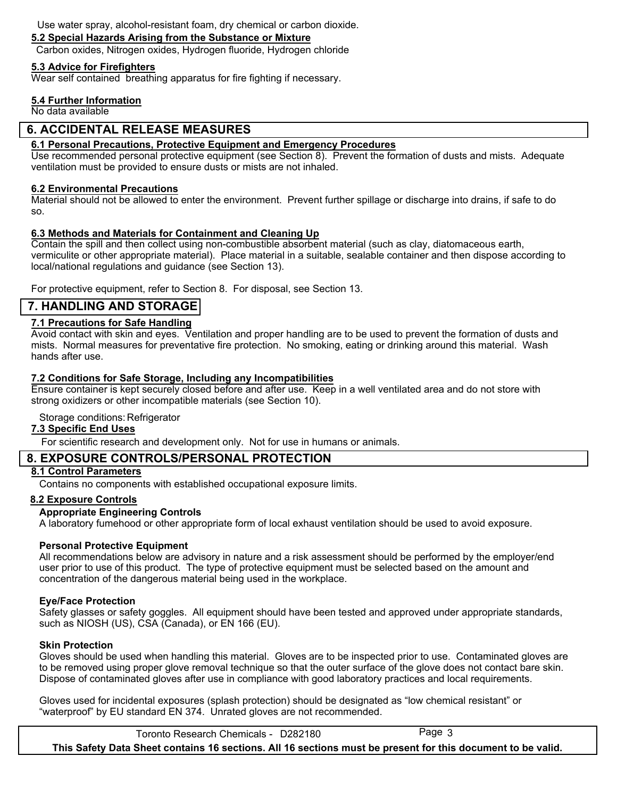Use water spray, alcohol-resistant foam, dry chemical or carbon dioxide.

## **5.2 Special Hazards Arising from the Substance or Mixture**

Carbon oxides, Nitrogen oxides, Hydrogen fluoride, Hydrogen chloride

### **5.3 Advice for Firefighters**

Wear self contained breathing apparatus for fire fighting if necessary.

#### **5.4 Further Information**

No data available

## **6. ACCIDENTAL RELEASE MEASURES**

#### **6.1 Personal Precautions, Protective Equipment and Emergency Procedures**

Use recommended personal protective equipment (see Section 8). Prevent the formation of dusts and mists. Adequate ventilation must be provided to ensure dusts or mists are not inhaled.

#### **6.2 Environmental Precautions**

Material should not be allowed to enter the environment. Prevent further spillage or discharge into drains, if safe to do so.

## **6.3 Methods and Materials for Containment and Cleaning Up**

Contain the spill and then collect using non-combustible absorbent material (such as clay, diatomaceous earth, vermiculite or other appropriate material). Place material in a suitable, sealable container and then dispose according to local/national regulations and guidance (see Section 13).

For protective equipment, refer to Section 8. For disposal, see Section 13.

## **7. HANDLING AND STORAGE**

## **7.1 Precautions for Safe Handling**

Avoid contact with skin and eyes. Ventilation and proper handling are to be used to prevent the formation of dusts and mists. Normal measures for preventative fire protection. No smoking, eating or drinking around this material. Wash hands after use.

### **7.2 Conditions for Safe Storage, Including any Incompatibilities**

Ensure container is kept securely closed before and after use. Keep in a well ventilated area and do not store with strong oxidizers or other incompatible materials (see Section 10).

## Storage conditions: Refrigerator

#### **7.3 Specific End Uses**

For scientific research and development only. Not for use in humans or animals.

## **8. EXPOSURE CONTROLS/PERSONAL PROTECTION**

### **8.1 Control Parameters**

Contains no components with established occupational exposure limits.

#### **8.2 Exposure Controls**

#### **Appropriate Engineering Controls**

A laboratory fumehood or other appropriate form of local exhaust ventilation should be used to avoid exposure.

## **Personal Protective Equipment**

All recommendations below are advisory in nature and a risk assessment should be performed by the employer/end user prior to use of this product. The type of protective equipment must be selected based on the amount and concentration of the dangerous material being used in the workplace.

#### **Eye/Face Protection**

Safety glasses or safety goggles. All equipment should have been tested and approved under appropriate standards, such as NIOSH (US), CSA (Canada), or EN 166 (EU).

#### **Skin Protection**

Gloves should be used when handling this material. Gloves are to be inspected prior to use. Contaminated gloves are to be removed using proper glove removal technique so that the outer surface of the glove does not contact bare skin. Dispose of contaminated gloves after use in compliance with good laboratory practices and local requirements.

Gloves used for incidental exposures (splash protection) should be designated as "low chemical resistant" or "waterproof" by EU standard EN 374. Unrated gloves are not recommended.

Toronto Research Chemicals - D282180 Page 3 **This Safety Data Sheet contains 16 sections. All 16 sections must be present for this document to be valid.**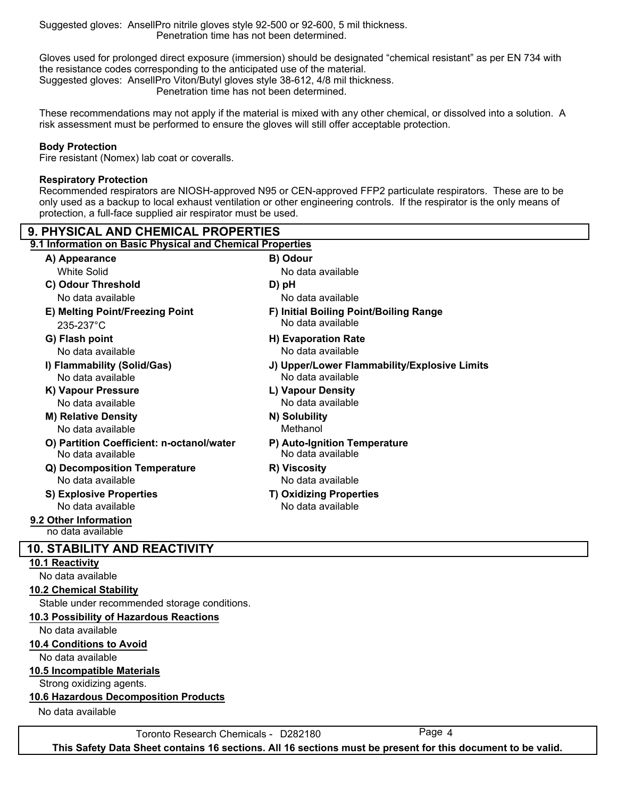Suggested gloves: AnsellPro nitrile gloves style 92-500 or 92-600, 5 mil thickness. Penetration time has not been determined.

Gloves used for prolonged direct exposure (immersion) should be designated "chemical resistant" as per EN 734 with the resistance codes corresponding to the anticipated use of the material. Suggested gloves: AnsellPro Viton/Butyl gloves style 38-612, 4/8 mil thickness.

Penetration time has not been determined.

These recommendations may not apply if the material is mixed with any other chemical, or dissolved into a solution. A risk assessment must be performed to ensure the gloves will still offer acceptable protection.

#### **Body Protection**

Fire resistant (Nomex) lab coat or coveralls.

#### **Respiratory Protection**

Recommended respirators are NIOSH-approved N95 or CEN-approved FFP2 particulate respirators. These are to be only used as a backup to local exhaust ventilation or other engineering controls. If the respirator is the only means of protection, a full-face supplied air respirator must be used.

| <b>9. PHYSICAL AND CHEMICAL PROPERTIES</b>                |                                                     |  |  |
|-----------------------------------------------------------|-----------------------------------------------------|--|--|
| 9.1 Information on Basic Physical and Chemical Properties |                                                     |  |  |
| A) Appearance                                             | B) Odour                                            |  |  |
| <b>White Solid</b>                                        | No data available                                   |  |  |
| C) Odour Threshold                                        | D) pH                                               |  |  |
| No data available                                         | No data available                                   |  |  |
| E) Melting Point/Freezing Point                           | F) Initial Boiling Point/Boiling Range              |  |  |
| $235 - 237$ °C                                            | No data available                                   |  |  |
| G) Flash point                                            | H) Evaporation Rate                                 |  |  |
| No data available                                         | No data available                                   |  |  |
| I) Flammability (Solid/Gas)                               | J) Upper/Lower Flammability/Explosive Limits        |  |  |
| No data available                                         | No data available                                   |  |  |
| K) Vapour Pressure                                        | L) Vapour Density                                   |  |  |
| No data available                                         | No data available                                   |  |  |
| <b>M) Relative Density</b>                                | N) Solubility                                       |  |  |
| No data available                                         | Methanol                                            |  |  |
| O) Partition Coefficient: n-octanol/water                 | P) Auto-Ignition Temperature                        |  |  |
| No data available                                         | No data available                                   |  |  |
| Q) Decomposition Temperature<br>No data available         | R) Viscosity<br>No data available                   |  |  |
|                                                           |                                                     |  |  |
| <b>S) Explosive Properties</b><br>No data available       | <b>T) Oxidizing Properties</b><br>No data available |  |  |
|                                                           |                                                     |  |  |
| 9.2 Other Information<br>no data available                |                                                     |  |  |
|                                                           |                                                     |  |  |
| <b>10. STABILITY AND REACTIVITY</b>                       |                                                     |  |  |
| 10.1 Reactivity<br>No data available                      |                                                     |  |  |
|                                                           |                                                     |  |  |
| <b>10.2 Chemical Stability</b>                            |                                                     |  |  |
| Stable under recommended storage conditions.              |                                                     |  |  |
| 10.3 Possibility of Hazardous Reactions                   |                                                     |  |  |
| No data available                                         |                                                     |  |  |
| 10.4 Conditions to Avoid                                  |                                                     |  |  |
| No data available                                         |                                                     |  |  |
| <b>10.5 Incompatible Materials</b>                        |                                                     |  |  |

Strong oxidizing agents.

#### **10.6 Hazardous Decomposition Products**

No data available

Toronto Research Chemicals - D282180 Page 4

**This Safety Data Sheet contains 16 sections. All 16 sections must be present for this document to be valid.**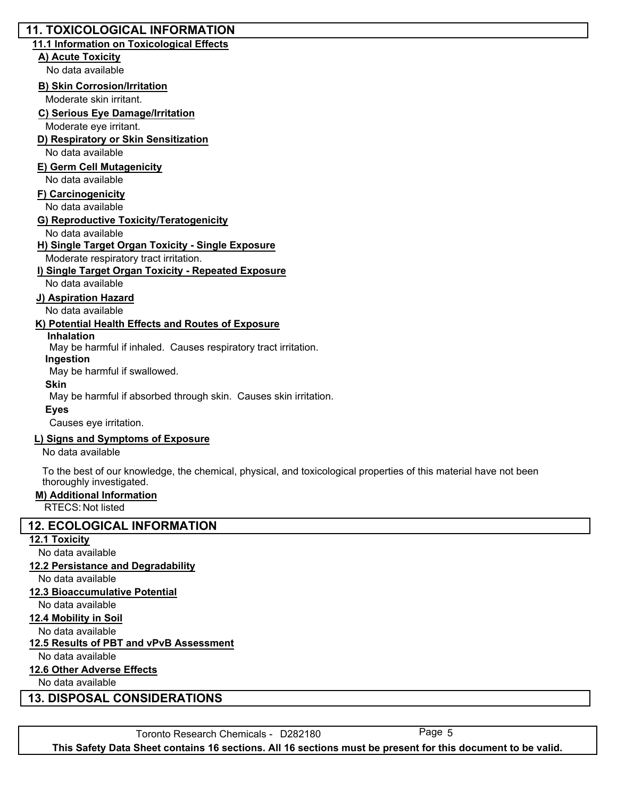## **11. TOXICOLOGICAL INFORMATION**

## **11.1 Information on Toxicological Effects**

#### **A) Acute Toxicity**

No data available

#### **B) Skin Corrosion/Irritation**

Moderate skin irritant.

### **C) Serious Eye Damage/Irritation**

Moderate eye irritant.

## **D) Respiratory or Skin Sensitization**

No data available

## **E) Germ Cell Mutagenicity**

No data available

#### **F) Carcinogenicity**

No data available

#### **G) Reproductive Toxicity/Teratogenicity**

No data available

### **H) Single Target Organ Toxicity - Single Exposure**

Moderate respiratory tract irritation.

#### **I) Single Target Organ Toxicity - Repeated Exposure**

No data available

#### **J) Aspiration Hazard**

No data available

### **K) Potential Health Effects and Routes of Exposure**

#### **Inhalation**

May be harmful if inhaled. Causes respiratory tract irritation.

#### **Ingestion**

May be harmful if swallowed.

#### **Skin**

May be harmful if absorbed through skin. Causes skin irritation.

#### **Eyes**

Causes eye irritation.

#### **L) Signs and Symptoms of Exposure**

No data available

To the best of our knowledge, the chemical, physical, and toxicological properties of this material have not been thoroughly investigated.

#### **M) Additional Information**

RTECS: Not listed

## **12. ECOLOGICAL INFORMATION**

#### **12.1 Toxicity**

No data available

#### **12.2 Persistance and Degradability**

No data available

## **12.3 Bioaccumulative Potential**

No data available

## **12.4 Mobility in Soil**

No data available

## **12.5 Results of PBT and vPvB Assessment**

No data available

## **12.6 Other Adverse Effects**

No data available

## **13. DISPOSAL CONSIDERATIONS**

Toronto Research Chemicals - D282180 Page 5

**This Safety Data Sheet contains 16 sections. All 16 sections must be present for this document to be valid.**